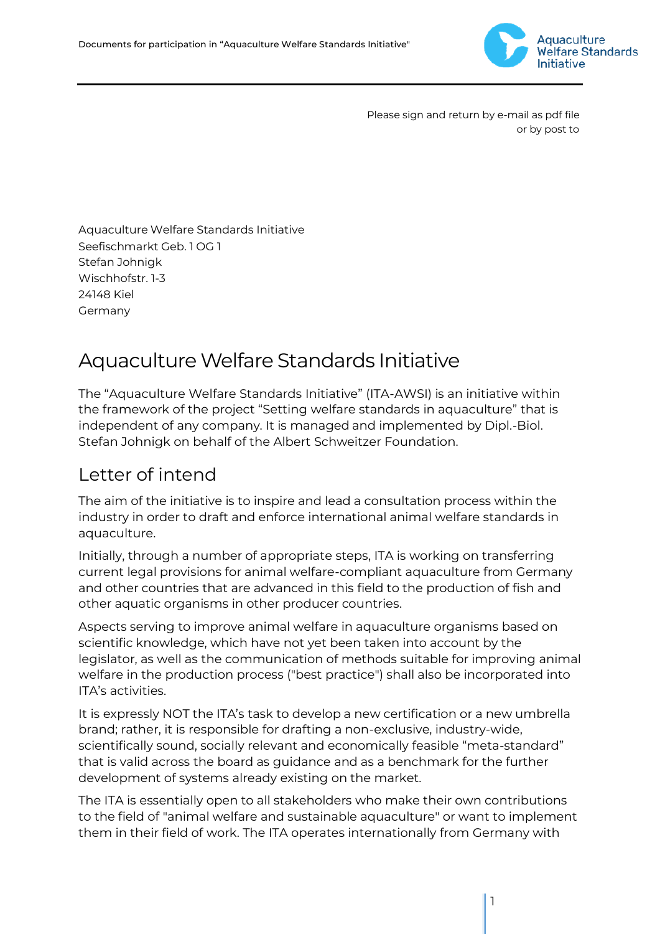

Please sign and return by e-mail as pdf file or by post to

Aquaculture Welfare Standards Initiative Seefischmarkt Geb. 1 OG 1 Stefan Johnigk Wischhofstr. 1-3 24148 Kiel Germany

# AquacultureWelfare Standards Initiative

The "Aquaculture Welfare Standards Initiative" (ITA-AWSI) is an initiative within the framework of the project "Setting welfare standards in aquaculture" that is independent of any company. It is managed and implemented by Dipl.-Biol. Stefan Johnigk on behalf of the Albert Schweitzer Foundation.

# Letter of intend

The aim of the initiative is to inspire and lead a consultation process within the industry in order to draft and enforce international animal welfare standards in aquaculture.

Initially, through a number of appropriate steps, ITA is working on transferring current legal provisions for animal welfare-compliant aquaculture from Germany and other countries that are advanced in this field to the production of fish and other aquatic organisms in other producer countries.

Aspects serving to improve animal welfare in aquaculture organisms based on scientific knowledge, which have not yet been taken into account by the legislator, as well as the communication of methods suitable for improving animal welfare in the production process ("best practice") shall also be incorporated into ITA's activities.

It is expressly NOT the ITA's task to develop a new certification or a new umbrella brand; rather, it is responsible for drafting a non-exclusive, industry-wide, scientifically sound, socially relevant and economically feasible "meta-standard" that is valid across the board as guidance and as a benchmark for the further development of systems already existing on the market.

The ITA is essentially open to all stakeholders who make their own contributions to the field of "animal welfare and sustainable aquaculture" or want to implement them in their field of work. The ITA operates internationally from Germany with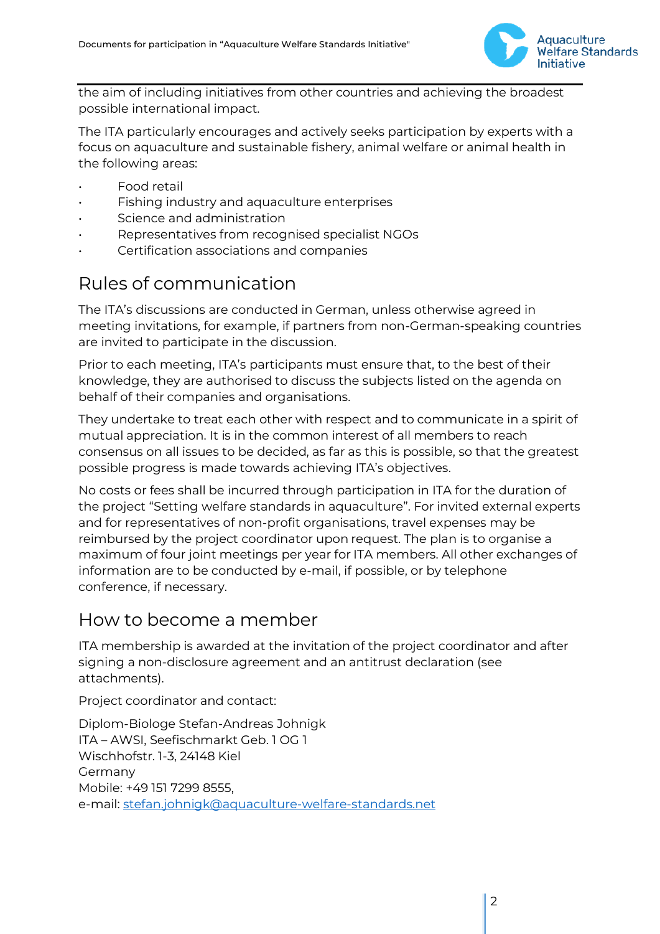

the aim of including initiatives from other countries and achieving the broadest possible international impact.

The ITA particularly encourages and actively seeks participation by experts with a focus on aquaculture and sustainable fishery, animal welfare or animal health in the following areas:

- Food retail
- Fishing industry and aquaculture enterprises
- Science and administration
- Representatives from recognised specialist NGOs
- Certification associations and companies

## Rules of communication

The ITA's discussions are conducted in German, unless otherwise agreed in meeting invitations, for example, if partners from non-German-speaking countries are invited to participate in the discussion.

Prior to each meeting, ITA's participants must ensure that, to the best of their knowledge, they are authorised to discuss the subjects listed on the agenda on behalf of their companies and organisations.

They undertake to treat each other with respect and to communicate in a spirit of mutual appreciation. It is in the common interest of all members to reach consensus on all issues to be decided, as far as this is possible, so that the greatest possible progress is made towards achieving ITA's objectives.

No costs or fees shall be incurred through participation in ITA for the duration of the project "Setting welfare standards in aquaculture". For invited external experts and for representatives of non-profit organisations, travel expenses may be reimbursed by the project coordinator upon request. The plan is to organise a maximum of four joint meetings per year for ITA members. All other exchanges of information are to be conducted by e-mail, if possible, or by telephone conference, if necessary.

#### How to become a member

ITA membership is awarded at the invitation of the project coordinator and after signing a non-disclosure agreement and an antitrust declaration (see attachments).

Project coordinator and contact:

Diplom-Biologe Stefan-Andreas Johnigk ITA – AWSI, Seefischmarkt Geb. 1 OG 1 Wischhofstr. 1-3, 24148 Kiel Germany Mobile: +49 151 7299 8555, e-mail: [stefan.johnigk@aquaculture-welfare-standards.net](mailto:stefan.johnigk@aquaculture-welfare-standards.net)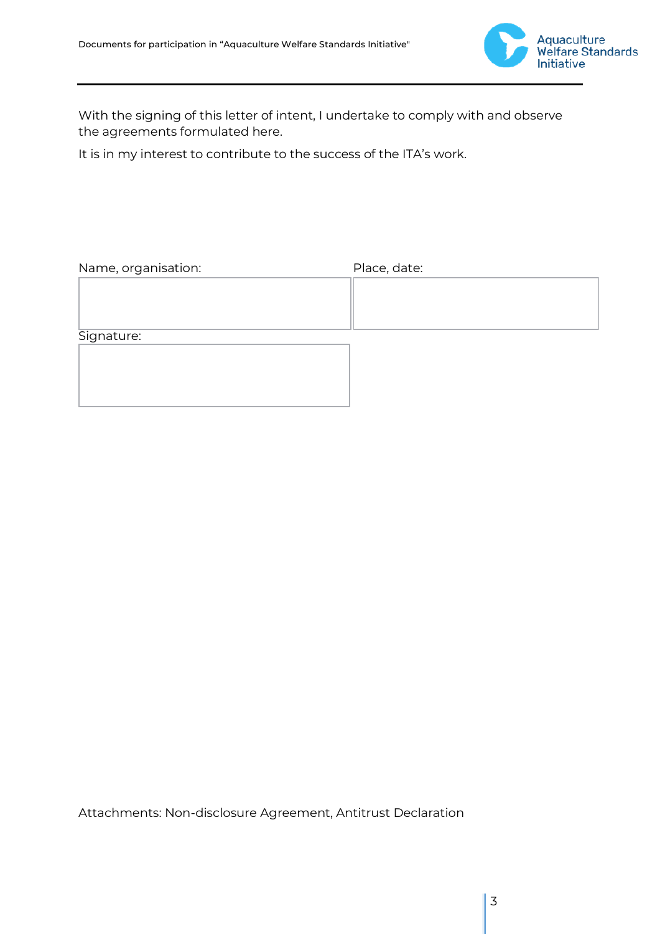

With the signing of this letter of intent, I undertake to comply with and observe the agreements formulated here.

It is in my interest to contribute to the success of the ITA's work.

| Name, organisation: | Place, date: |
|---------------------|--------------|
|                     |              |
|                     |              |
| Signature:          |              |
|                     |              |
|                     |              |
|                     |              |
|                     |              |

Attachments: Non-disclosure Agreement, Antitrust Declaration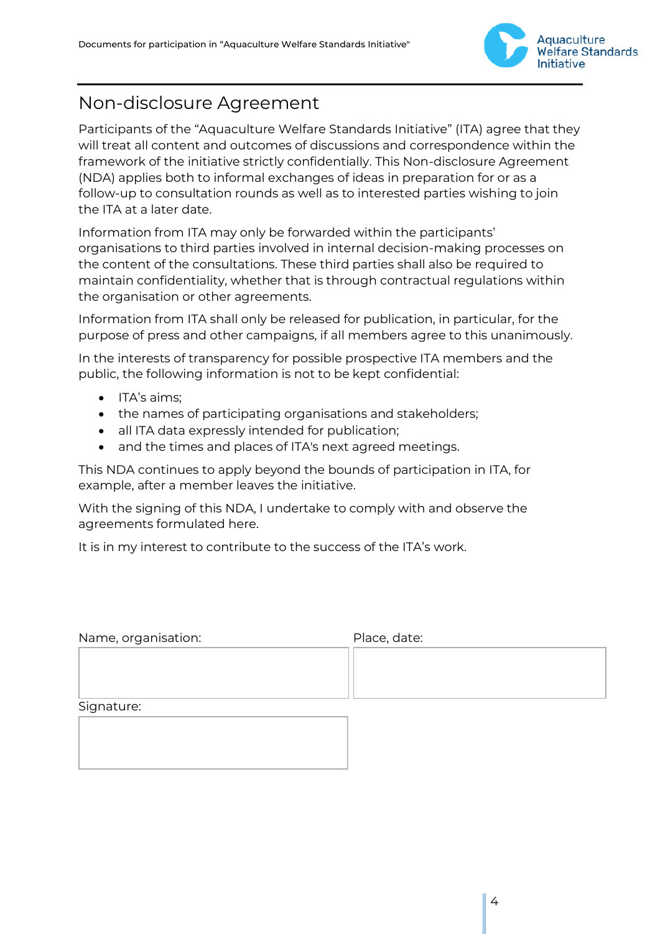

## Non-disclosure Agreement

Participants of the "Aquaculture Welfare Standards Initiative" (ITA) agree that they will treat all content and outcomes of discussions and correspondence within the framework of the initiative strictly confidentially. This Non-disclosure Agreement (NDA) applies both to informal exchanges of ideas in preparation for or as a follow-up to consultation rounds as well as to interested parties wishing to join the ITA at a later date.

Information from ITA may only be forwarded within the participants' organisations to third parties involved in internal decision-making processes on the content of the consultations. These third parties shall also be required to maintain confidentiality, whether that is through contractual regulations within the organisation or other agreements.

Information from ITA shall only be released for publication, in particular, for the purpose of press and other campaigns, if all members agree to this unanimously.

In the interests of transparency for possible prospective ITA members and the public, the following information is not to be kept confidential:

- ITA's aims;
- the names of participating organisations and stakeholders;
- all ITA data expressly intended for publication;
- and the times and places of ITA's next agreed meetings.

This NDA continues to apply beyond the bounds of participation in ITA, for example, after a member leaves the initiative.

With the signing of this NDA, I undertake to comply with and observe the agreements formulated here.

It is in my interest to contribute to the success of the ITA's work.

| Name, organisation: | Place, date: |
|---------------------|--------------|
|                     |              |
|                     |              |
| Signature:          |              |
|                     |              |